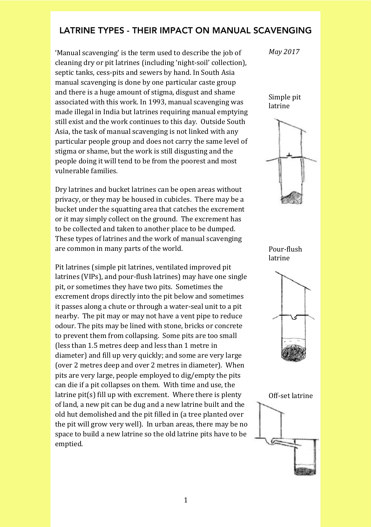## LATRINE TYPES - THEIR IMPACT ON MANUAL SCAVENGING

'Manual scavenging' is the term used to describe the job of cleaning dry or pit latrines (including 'night-soil' collection), septic tanks, cess-pits and sewers by hand. In South Asia manual scavenging is done by one particular caste group and there is a huge amount of stigma, disgust and shame associated with this work. In 1993, manual scavenging was made illegal in India but latrines requiring manual emptying still exist and the work continues to this day. Outside South Asia, the task of manual scavenging is not linked with any particular people group and does not carry the same level of stigma or shame, but the work is still disgusting and the people doing it will tend to be from the poorest and most vulnerable families.

Dry latrines and bucket latrines can be open areas without privacy, or they may be housed in cubicles. There may be a bucket under the squatting area that catches the excrement or it may simply collect on the ground. The excrement has to be collected and taken to another place to be dumped. These types of latrines and the work of manual scavenging are common in many parts of the world.

Pit latrines (simple pit latrines, ventilated improved pit latrines (VIPs), and pour-flush latrines) may have one single pit, or sometimes they have two pits. Sometimes the excrement drops directly into the pit below and sometimes it passes along a chute or through a water-seal unit to a pit nearby. The pit may or may not have a vent pipe to reduce odour. The pits may be lined with stone, bricks or concrete to prevent them from collapsing. Some pits are too small (less than 1.5 metres deep and less than 1 metre in diameter) and fill up very quickly; and some are very large (over 2 metres deep and over 2 metres in diameter). When pits are very large, people employed to dig/empty the pits can die if a pit collapses on them. With time and use, the latrine  $pit(s)$  fill up with excrement. Where there is plenty of land, a new pit can be dug and a new latrine built and the old hut demolished and the pit filled in (a tree planted over the pit will grow very well). In urban areas, there may be no space to build a new latrine so the old latrine pits have to be emptied.

*May\$2017*

Simple pit latrine



Pour-flush latrine



Off-set latrine

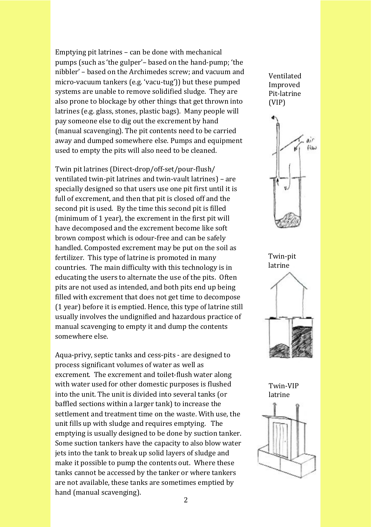Emptying pit latrines – can be done with mechanical pumps (such as 'the gulper'– based on the hand-pump; 'the nibbler' – based on the Archimedes screw; and vacuum and micro-vacuum tankers (e.g. 'vacu-tug')) but these pumped systems are unable to remove solidified sludge. They are also prone to blockage by other things that get thrown into latrines (e.g. glass, stones, plastic bags). Many people will pay someone else to dig out the excrement by hand (manual scavenging). The pit contents need to be carried away and dumped somewhere else. Pumps and equipment used to empty the pits will also need to be cleaned.

Twin pit latrines (Direct-drop/off-set/pour-flush/ ventilated twin-pit latrines and twin-vault latrines) – are specially designed so that users use one pit first until it is full of excrement, and then that pit is closed off and the second pit is used. By the time this second pit is filled (minimum of  $1$  year), the excrement in the first pit will have decomposed and the excrement become like soft brown compost which is odour-free and can be safely handled. Composted excrement may be put on the soil as fertilizer. This type of latrine is promoted in many countries. The main difficulty with this technology is in educating the users to alternate the use of the pits. Often pits are not used as intended, and both pits end up being filled with excrement that does not get time to decompose  $(1$  year) before it is emptied. Hence, this type of latrine still usually involves the undignified and hazardous practice of manual scavenging to empty it and dump the contents somewhere else.

Aqua-privy, septic tanks and cess-pits - are designed to process significant volumes of water as well as excrement. The excrement and toilet-flush water along with water used for other domestic purposes is flushed into the unit. The unit is divided into several tanks (or baffled sections within a larger tank) to increase the settlement and treatment time on the waste. With use, the unit fills up with sludge and requires emptying. The emptying is usually designed to be done by suction tanker. Some suction tankers have the capacity to also blow water jets into the tank to break up solid layers of sludge and make it possible to pump the contents out. Where these tanks cannot be accessed by the tanker or where tankers are not available, these tanks are sometimes emptied by hand (manual scavenging).

**Ventilated Improved** Pit-latrine (VIP)





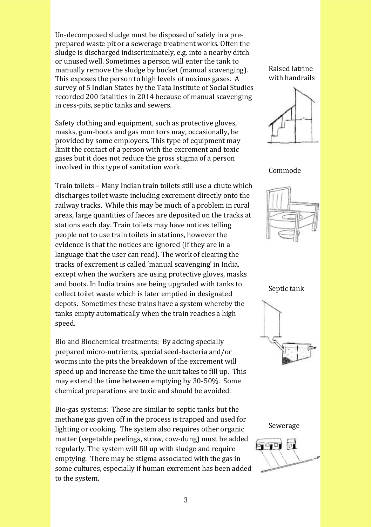Un-decomposed sludge must be disposed of safely in a preprepared waste pit or a sewerage treatment works. Often the sludge is discharged indiscriminately, e.g. into a nearby ditch or unused well. Sometimes a person will enter the tank to manually remove the sludge by bucket (manual scavenging). This exposes the person to high levels of noxious gases. A survey of 5 Indian States by the Tata Institute of Social Studies recorded 200 fatalities in 2014 because of manual scavenging in cess-pits, septic tanks and sewers.

Safety clothing and equipment, such as protective gloves, masks, gum-boots and gas monitors may, occasionally, be provided by some employers. This type of equipment may limit the contact of a person with the excrement and toxic gases but it does not reduce the gross stigma of a person involved in this type of sanitation work.

Train toilets – Many Indian train toilets still use a chute which discharges toilet waste including excrement directly onto the railway tracks. While this may be much of a problem in rural areas, large quantities of faeces are deposited on the tracks at stations each day. Train toilets may have notices telling people not to use train toilets in stations, however the evidence is that the notices are ignored (if they are in a language that the user can read). The work of clearing the tracks of excrement is called 'manual scavenging' in India, except when the workers are using protective gloves, masks and boots. In India trains are being upgraded with tanks to collect toilet waste which is later emptied in designated depots. Sometimes these trains have a system whereby the tanks empty automatically when the train reaches a high speed.

Bio and Biochemical treatments: By adding specially prepared micro-nutrients, special seed-bacteria and/or worms into the pits the breakdown of the excrement will speed up and increase the time the unit takes to fill up. This may extend the time between emptying by 30-50%. Some chemical preparations are toxic and should be avoided.

Bio-gas systems: These are similar to septic tanks but the methane gas given off in the process is trapped and used for lighting or cooking. The system also requires other organic matter (vegetable peelings, straw, cow-dung) must be added regularly. The system will fill up with sludge and require emptying. There may be stigma associated with the gas in some cultures, especially if human excrement has been added to the system.

Raised latrine with handrails



Commode



Septic tank